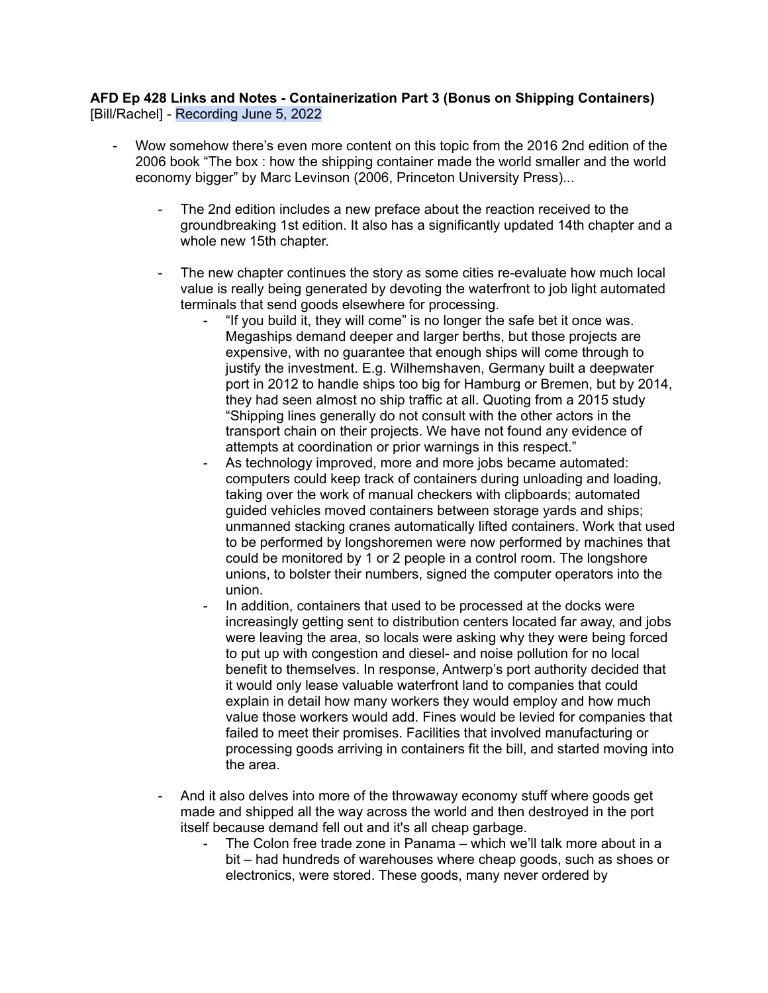## **AFD Ep 428 Links and Notes - Containerization Part 3 (Bonus on Shipping Containers)** [Bill/Rachel] - Recording June 5, 2022

- Wow somehow there's even more content on this topic from the 2016 2nd edition of the 2006 book "The box : how the shipping container made the world smaller and the world economy bigger" by Marc Levinson (2006, Princeton University Press)...
	- The 2nd edition includes a new preface about the reaction received to the groundbreaking 1st edition. It also has a significantly updated 14th chapter and a whole new 15th chapter.
	- The new chapter continues the story as some cities re-evaluate how much local value is really being generated by devoting the waterfront to job light automated terminals that send goods elsewhere for processing.
		- "If you build it, they will come" is no longer the safe bet it once was. Megaships demand deeper and larger berths, but those projects are expensive, with no guarantee that enough ships will come through to justify the investment. E.g. Wilhemshaven, Germany built a deepwater port in 2012 to handle ships too big for Hamburg or Bremen, but by 2014, they had seen almost no ship traffic at all. Quoting from a 2015 study "Shipping lines generally do not consult with the other actors in the transport chain on their projects. We have not found any evidence of attempts at coordination or prior warnings in this respect."
		- As technology improved, more and more jobs became automated: computers could keep track of containers during unloading and loading, taking over the work of manual checkers with clipboards; automated guided vehicles moved containers between storage yards and ships; unmanned stacking cranes automatically lifted containers. Work that used to be performed by longshoremen were now performed by machines that could be monitored by 1 or 2 people in a control room. The longshore unions, to bolster their numbers, signed the computer operators into the union.
		- In addition, containers that used to be processed at the docks were increasingly getting sent to distribution centers located far away, and jobs were leaving the area, so locals were asking why they were being forced to put up with congestion and diesel- and noise pollution for no local benefit to themselves. In response, Antwerp's port authority decided that it would only lease valuable waterfront land to companies that could explain in detail how many workers they would employ and how much value those workers would add. Fines would be levied for companies that failed to meet their promises. Facilities that involved manufacturing or processing goods arriving in containers fit the bill, and started moving into the area.
	- And it also delves into more of the throwaway economy stuff where goods get made and shipped all the way across the world and then destroyed in the port itself because demand fell out and it's all cheap garbage.
		- The Colon free trade zone in Panama which we'll talk more about in a bit – had hundreds of warehouses where cheap goods, such as shoes or electronics, were stored. These goods, many never ordered by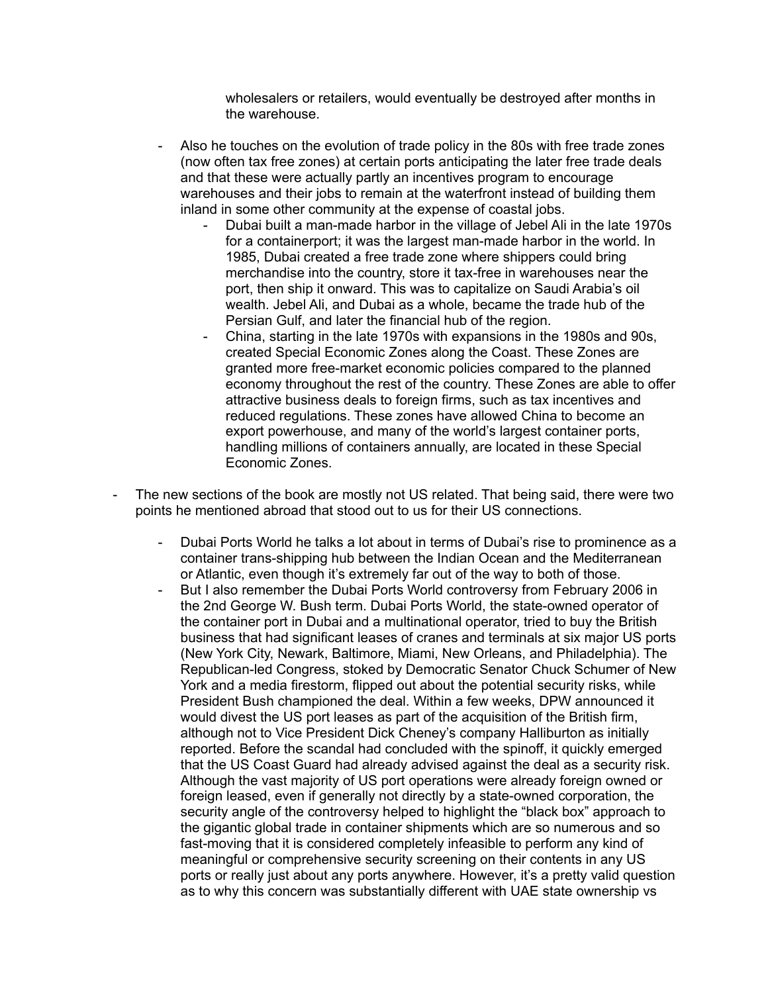wholesalers or retailers, would eventually be destroyed after months in the warehouse.

- Also he touches on the evolution of trade policy in the 80s with free trade zones (now often tax free zones) at certain ports anticipating the later free trade deals and that these were actually partly an incentives program to encourage warehouses and their jobs to remain at the waterfront instead of building them inland in some other community at the expense of coastal jobs.
	- Dubai built a man-made harbor in the village of Jebel Ali in the late 1970s for a containerport; it was the largest man-made harbor in the world. In 1985, Dubai created a free trade zone where shippers could bring merchandise into the country, store it tax-free in warehouses near the port, then ship it onward. This was to capitalize on Saudi Arabia's oil wealth. Jebel Ali, and Dubai as a whole, became the trade hub of the Persian Gulf, and later the financial hub of the region.
	- China, starting in the late 1970s with expansions in the 1980s and 90s, created Special Economic Zones along the Coast. These Zones are granted more free-market economic policies compared to the planned economy throughout the rest of the country. These Zones are able to offer attractive business deals to foreign firms, such as tax incentives and reduced regulations. These zones have allowed China to become an export powerhouse, and many of the world's largest container ports, handling millions of containers annually, are located in these Special Economic Zones.
- The new sections of the book are mostly not US related. That being said, there were two points he mentioned abroad that stood out to us for their US connections.
	- Dubai Ports World he talks a lot about in terms of Dubai's rise to prominence as a container trans-shipping hub between the Indian Ocean and the Mediterranean or Atlantic, even though it's extremely far out of the way to both of those.
	- But I also remember the Dubai Ports World controversy from February 2006 in the 2nd George W. Bush term. Dubai Ports World, the state-owned operator of the container port in Dubai and a multinational operator, tried to buy the British business that had significant leases of cranes and terminals at six major US ports (New York City, Newark, Baltimore, Miami, New Orleans, and Philadelphia). The Republican-led Congress, stoked by Democratic Senator Chuck Schumer of New York and a media firestorm, flipped out about the potential security risks, while President Bush championed the deal. Within a few weeks, DPW announced it would divest the US port leases as part of the acquisition of the British firm, although not to Vice President Dick Cheney's company Halliburton as initially reported. Before the scandal had concluded with the spinoff, it quickly emerged that the US Coast Guard had already advised against the deal as a security risk. Although the vast majority of US port operations were already foreign owned or foreign leased, even if generally not directly by a state-owned corporation, the security angle of the controversy helped to highlight the "black box" approach to the gigantic global trade in container shipments which are so numerous and so fast-moving that it is considered completely infeasible to perform any kind of meaningful or comprehensive security screening on their contents in any US ports or really just about any ports anywhere. However, it's a pretty valid question as to why this concern was substantially different with UAE state ownership vs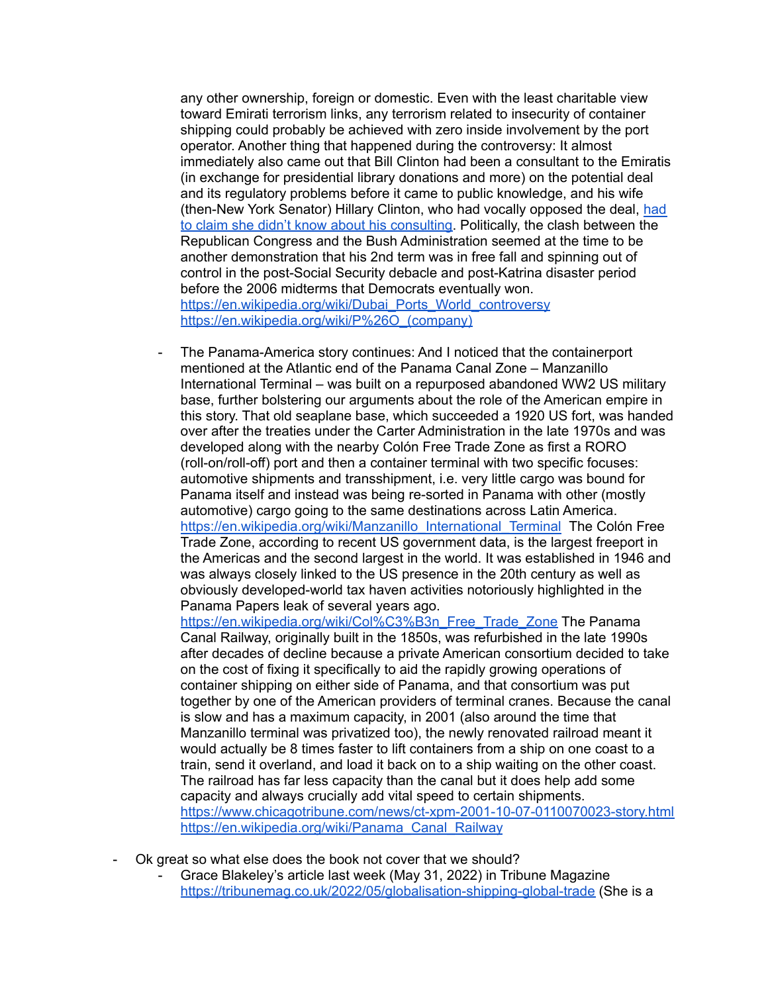any other ownership, foreign or domestic. Even with the least charitable view toward Emirati terrorism links, any terrorism related to insecurity of container shipping could probably be achieved with zero inside involvement by the port operator. Another thing that happened during the controversy: It almost immediately also came out that Bill Clinton had been a consultant to the Emiratis (in exchange for presidential library donations and more) on the potential deal and its regulatory problems before it came to public knowledge, and his wife (then-New York Senator) Hillary Clinton, who had vocally opposed the deal, [had](https://web.archive.org/web/20060313171317/http://msnbc.msn.com/id/11657573/) to claim she didn't know about his [consulting.](https://web.archive.org/web/20060313171317/http://msnbc.msn.com/id/11657573/) Politically, the clash between the Republican Congress and the Bush Administration seemed at the time to be another demonstration that his 2nd term was in free fall and spinning out of control in the post-Social Security debacle and post-Katrina disaster period before the 2006 midterms that Democrats eventually won. [https://en.wikipedia.org/wiki/Dubai\\_Ports\\_World\\_controversy](https://en.wikipedia.org/wiki/Dubai_Ports_World_controversy) [https://en.wikipedia.org/wiki/P%26O\\_\(company\)](https://en.wikipedia.org/wiki/P%26O_(company))

- The Panama-America story continues: And I noticed that the containerport mentioned at the Atlantic end of the Panama Canal Zone – Manzanillo International Terminal – was built on a repurposed abandoned WW2 US military base, further bolstering our arguments about the role of the American empire in this story. That old seaplane base, which succeeded a 1920 US fort, was handed over after the treaties under the Carter Administration in the late 1970s and was developed along with the nearby Colón Free Trade Zone as first a RORO (roll-on/roll-off) port and then a container terminal with two specific focuses: automotive shipments and transshipment, i.e. very little cargo was bound for Panama itself and instead was being re-sorted in Panama with other (mostly automotive) cargo going to the same destinations across Latin America. [https://en.wikipedia.org/wiki/Manzanillo\\_International\\_Terminal](https://en.wikipedia.org/wiki/Manzanillo_International_Terminal) The Colón Free Trade Zone, according to recent US government data, is the largest freeport in the Americas and the second largest in the world. It was established in 1946 and was always closely linked to the US presence in the 20th century as well as obviously developed-world tax haven activities notoriously highlighted in the Panama Papers leak of several years ago. [https://en.wikipedia.org/wiki/Col%C3%B3n\\_Free\\_Trade\\_Zone](https://en.wikipedia.org/wiki/Col%C3%B3n_Free_Trade_Zone) The Panama

Canal Railway, originally built in the 1850s, was refurbished in the late 1990s after decades of decline because a private American consortium decided to take on the cost of fixing it specifically to aid the rapidly growing operations of container shipping on either side of Panama, and that consortium was put together by one of the American providers of terminal cranes. Because the canal is slow and has a maximum capacity, in 2001 (also around the time that Manzanillo terminal was privatized too), the newly renovated railroad meant it would actually be 8 times faster to lift containers from a ship on one coast to a train, send it overland, and load it back on to a ship waiting on the other coast. The railroad has far less capacity than the canal but it does help add some capacity and always crucially add vital speed to certain shipments. <https://www.chicagotribune.com/news/ct-xpm-2001-10-07-0110070023-story.html> [https://en.wikipedia.org/wiki/Panama\\_Canal\\_Railway](https://en.wikipedia.org/wiki/Panama_Canal_Railway)

- Ok great so what else does the book not cover that we should?
	- Grace Blakeley's article last week (May 31, 2022) in Tribune Magazine <https://tribunemag.co.uk/2022/05/globalisation-shipping-global-trade> (She is a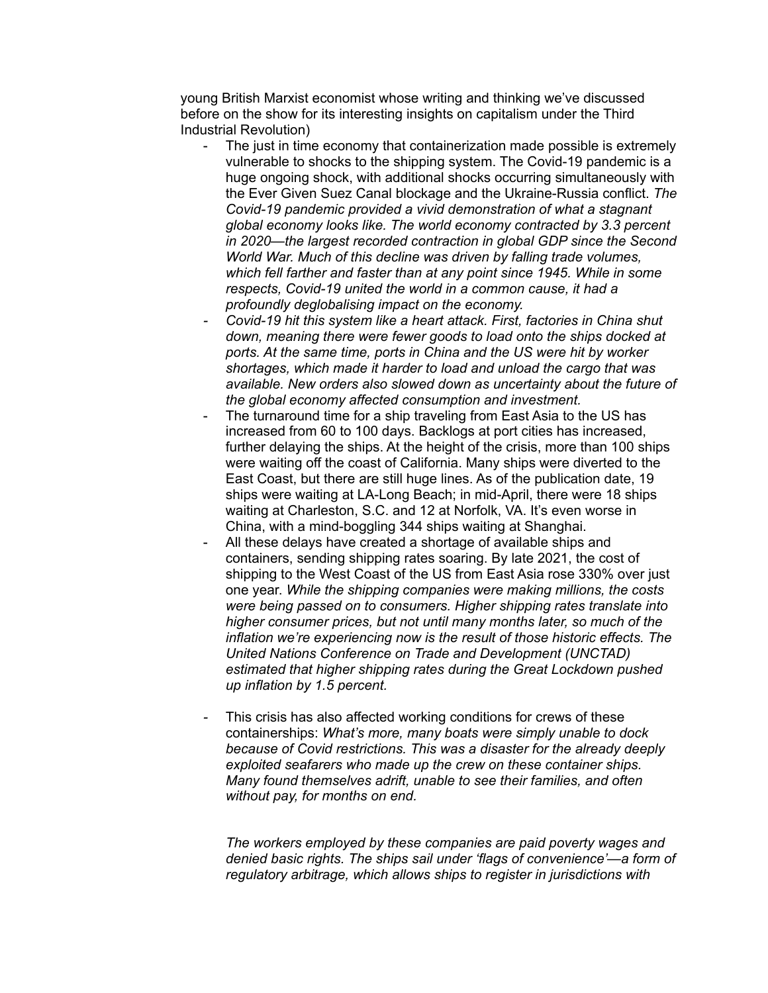young British Marxist economist whose writing and thinking we've discussed before on the show for its interesting insights on capitalism under the Third Industrial Revolution)

- The just in time economy that containerization made possible is extremely vulnerable to shocks to the shipping system. The Covid-19 pandemic is a huge ongoing shock, with additional shocks occurring simultaneously with the Ever Given Suez Canal blockage and the Ukraine-Russia conflict. *The Covid-19 pandemic provided a vivid demonstration of what a stagnant global economy looks like. The world economy contracted by 3.3 percent in 2020—the largest recorded contraction in global GDP since the Second World War. Much of this decline was driven by falling trade volumes, which fell farther and faster than at any point since 1945. While in some respects, Covid-19 united the world in a common cause, it had a profoundly deglobalising impact on the economy.*
- *- Covid-19 hit this system like a heart attack. First, factories in China shut down, meaning there were fewer goods to load onto the ships docked at ports. At the same time, ports in China and the US were hit by worker shortages, which made it harder to load and unload the cargo that was available. New orders also slowed down as uncertainty about the future of the global economy affected consumption and investment.*
- The turnaround time for a ship traveling from East Asia to the US has increased from 60 to 100 days. Backlogs at port cities has increased, further delaying the ships. At the height of the crisis, more than 100 ships were waiting off the coast of California. Many ships were diverted to the East Coast, but there are still huge lines. As of the publication date, 19 ships were waiting at LA-Long Beach; in mid-April, there were 18 ships waiting at Charleston, S.C. and 12 at Norfolk, VA. It's even worse in China, with a mind-boggling 344 ships waiting at Shanghai.
- All these delays have created a shortage of available ships and containers, sending shipping rates soaring. By late 2021, the cost of shipping to the West Coast of the US from East Asia rose 330% over just one year. *While the shipping companies were making millions, the costs were being passed on to consumers. Higher shipping rates translate into higher consumer prices, but not until many months later, so much of the inflation we're experiencing now is the result of those historic effects. The United Nations Conference on Trade and Development (UNCTAD) estimated that higher shipping rates during the Great Lockdown pushed up inflation by 1.5 percent.*
- *-* This crisis has also affected working conditions for crews of these containerships: *What's more, many boats were simply unable to dock because of Covid restrictions. This was a disaster for the already deeply exploited seafarers who made up the crew on these container ships. Many found themselves adrift, unable to see their families, and often without pay, for months on end.*

*The workers employed by these companies are paid poverty wages and denied basic rights. The ships sail under 'flags of convenience'—a form of regulatory arbitrage, which allows ships to register in jurisdictions with*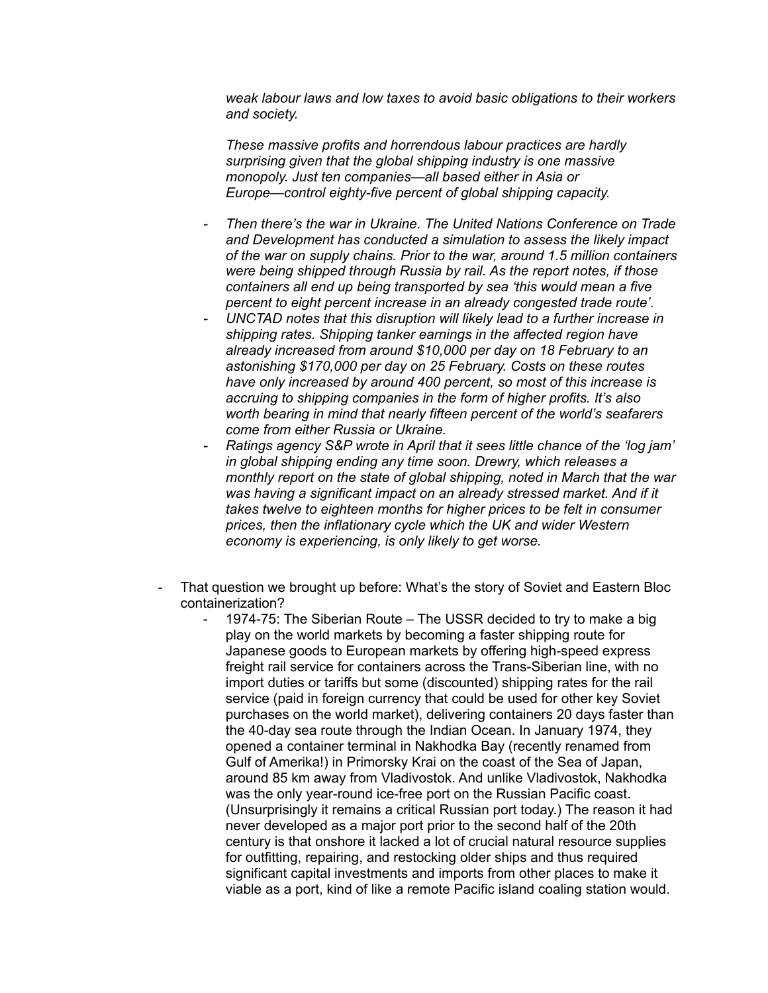*weak labour laws and low taxes to avoid basic obligations to their workers and society.*

*These massive profits and horrendous labour practices are hardly surprising given that the global shipping industry is one massive monopoly. Just ten companies—all based either in Asia or Europe—control eighty-five percent of global shipping capacity.*

- *- Then there's the war in Ukraine. The United Nations Conference on Trade and Development has conducted a simulation to assess the likely impact of the war on supply chains. Prior to the war, around 1.5 million containers were being shipped through Russia by rail. As the report notes, if those containers all end up being transported by sea 'this would mean a five percent to eight percent increase in an already congested trade route'.*
- *- UNCTAD notes that this disruption will likely lead to a further increase in shipping rates. Shipping tanker earnings in the affected region have already increased from around \$10,000 per day on 18 February to an astonishing \$170,000 per day on 25 February. Costs on these routes have only increased by around 400 percent, so most of this increase is accruing to shipping companies in the form of higher profits. It's also worth bearing in mind that nearly fifteen percent of the world's seafarers come from either Russia or Ukraine.*
- *- Ratings agency S&P wrote in April that it sees little chance of the 'log jam' in global shipping ending any time soon. Drewry, which releases a monthly report on the state of global shipping, noted in March that the war was having a significant impact on an already stressed market. And if it takes twelve to eighteen months for higher prices to be felt in consumer prices, then the inflationary cycle which the UK and wider Western economy is experiencing, is only likely to get worse.*
- That question we brought up before: What's the story of Soviet and Eastern Bloc containerization?
	- 1974-75: The Siberian Route The USSR decided to try to make a big play on the world markets by becoming a faster shipping route for Japanese goods to European markets by offering high-speed express freight rail service for containers across the Trans-Siberian line, with no import duties or tariffs but some (discounted) shipping rates for the rail service (paid in foreign currency that could be used for other key Soviet purchases on the world market), delivering containers 20 days faster than the 40-day sea route through the Indian Ocean. In January 1974, they opened a container terminal in Nakhodka Bay (recently renamed from Gulf of Amerika!) in Primorsky Krai on the coast of the Sea of Japan, around 85 km away from Vladivostok. And unlike Vladivostok, Nakhodka was the only year-round ice-free port on the Russian Pacific coast. (Unsurprisingly it remains a critical Russian port today.) The reason it had never developed as a major port prior to the second half of the 20th century is that onshore it lacked a lot of crucial natural resource supplies for outfitting, repairing, and restocking older ships and thus required significant capital investments and imports from other places to make it viable as a port, kind of like a remote Pacific island coaling station would.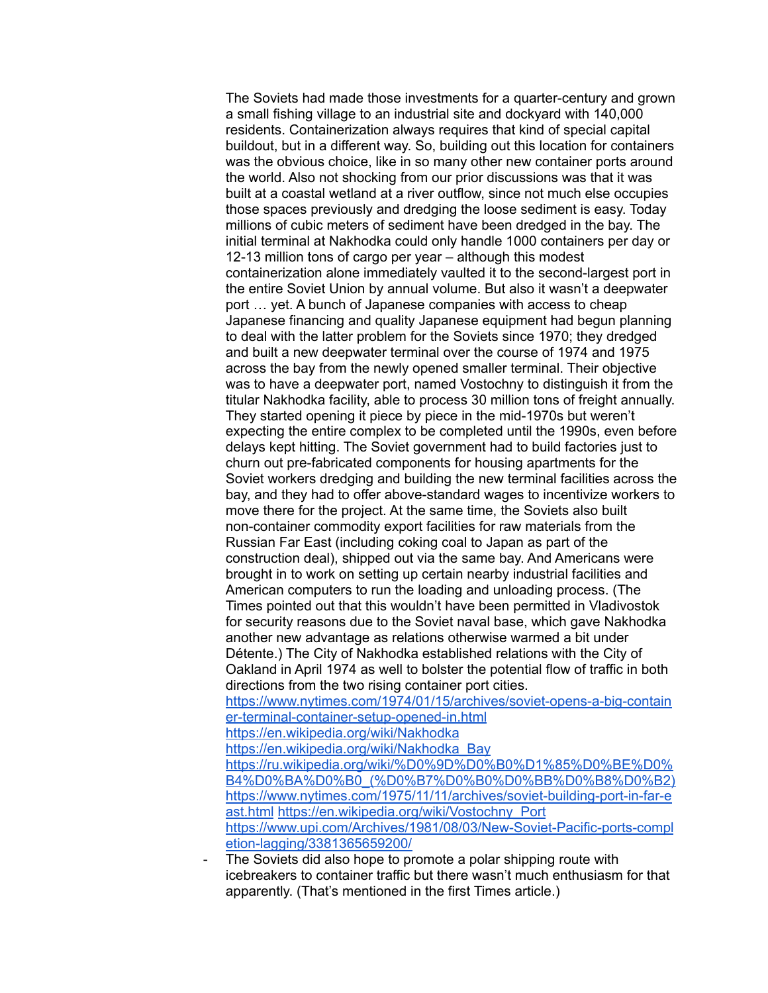The Soviets had made those investments for a quarter-century and grown a small fishing village to an industrial site and dockyard with 140,000 residents. Containerization always requires that kind of special capital buildout, but in a different way. So, building out this location for containers was the obvious choice, like in so many other new container ports around the world. Also not shocking from our prior discussions was that it was built at a coastal wetland at a river outflow, since not much else occupies those spaces previously and dredging the loose sediment is easy. Today millions of cubic meters of sediment have been dredged in the bay. The initial terminal at Nakhodka could only handle 1000 containers per day or 12-13 million tons of cargo per year – although this modest containerization alone immediately vaulted it to the second-largest port in the entire Soviet Union by annual volume. But also it wasn't a deepwater port … yet. A bunch of Japanese companies with access to cheap Japanese financing and quality Japanese equipment had begun planning to deal with the latter problem for the Soviets since 1970; they dredged and built a new deepwater terminal over the course of 1974 and 1975 across the bay from the newly opened smaller terminal. Their objective was to have a deepwater port, named Vostochny to distinguish it from the titular Nakhodka facility, able to process 30 million tons of freight annually. They started opening it piece by piece in the mid-1970s but weren't expecting the entire complex to be completed until the 1990s, even before delays kept hitting. The Soviet government had to build factories just to churn out pre-fabricated components for housing apartments for the Soviet workers dredging and building the new terminal facilities across the bay, and they had to offer above-standard wages to incentivize workers to move there for the project. At the same time, the Soviets also built non-container commodity export facilities for raw materials from the Russian Far East (including coking coal to Japan as part of the construction deal), shipped out via the same bay. And Americans were brought in to work on setting up certain nearby industrial facilities and American computers to run the loading and unloading process. (The Times pointed out that this wouldn't have been permitted in Vladivostok for security reasons due to the Soviet naval base, which gave Nakhodka another new advantage as relations otherwise warmed a bit under Détente.) The City of Nakhodka established relations with the City of Oakland in April 1974 as well to bolster the potential flow of traffic in both directions from the two rising container port cities.

[https://www.nytimes.com/1974/01/15/archives/soviet-opens-a-big-contain](https://www.nytimes.com/1974/01/15/archives/soviet-opens-a-big-container-terminal-container-setup-opened-in.html) [er-terminal-container-setup-opened-in.html](https://www.nytimes.com/1974/01/15/archives/soviet-opens-a-big-container-terminal-container-setup-opened-in.html)

<https://en.wikipedia.org/wiki/Nakhodka>

[https://en.wikipedia.org/wiki/Nakhodka\\_Bay](https://en.wikipedia.org/wiki/Nakhodka_Bay)

[https://ru.wikipedia.org/wiki/%D0%9D%D0%B0%D1%85%D0%BE%D0%](https://ru.wikipedia.org/wiki/%D0%9D%D0%B0%D1%85%D0%BE%D0%B4%D0%BA%D0%B0_(%D0%B7%D0%B0%D0%BB%D0%B8%D0%B2)) [B4%D0%BA%D0%B0\\_\(%D0%B7%D0%B0%D0%BB%D0%B8%D0%B2\)](https://ru.wikipedia.org/wiki/%D0%9D%D0%B0%D1%85%D0%BE%D0%B4%D0%BA%D0%B0_(%D0%B7%D0%B0%D0%BB%D0%B8%D0%B2)) [https://www.nytimes.com/1975/11/11/archives/soviet-building-port-in-far-e](https://www.nytimes.com/1975/11/11/archives/soviet-building-port-in-far-east.html) [ast.html](https://www.nytimes.com/1975/11/11/archives/soviet-building-port-in-far-east.html) [https://en.wikipedia.org/wiki/Vostochny\\_Port](https://en.wikipedia.org/wiki/Vostochny_Port) [https://www.upi.com/Archives/1981/08/03/New-Soviet-Pacific-ports-compl](https://www.upi.com/Archives/1981/08/03/New-Soviet-Pacific-ports-completion-lagging/3381365659200/) [etion-lagging/3381365659200/](https://www.upi.com/Archives/1981/08/03/New-Soviet-Pacific-ports-completion-lagging/3381365659200/)

The Soviets did also hope to promote a polar shipping route with icebreakers to container traffic but there wasn't much enthusiasm for that apparently. (That's mentioned in the first Times article.)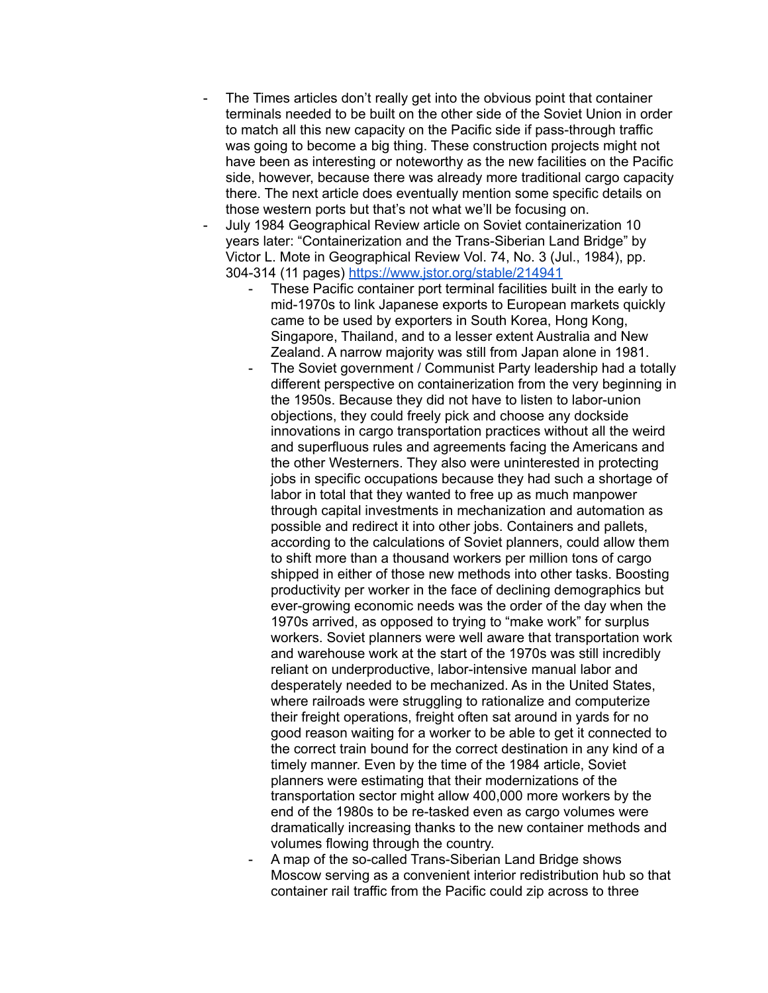- The Times articles don't really get into the obvious point that container terminals needed to be built on the other side of the Soviet Union in order to match all this new capacity on the Pacific side if pass-through traffic was going to become a big thing. These construction projects might not have been as interesting or noteworthy as the new facilities on the Pacific side, however, because there was already more traditional cargo capacity there. The next article does eventually mention some specific details on those western ports but that's not what we'll be focusing on.
- July 1984 Geographical Review article on Soviet containerization 10 years later: "Containerization and the Trans-Siberian Land Bridge" by Victor L. Mote in Geographical Review Vol. 74, No. 3 (Jul., 1984), pp. 304-314 (11 pages) <https://www.jstor.org/stable/214941>
	- These Pacific container port terminal facilities built in the early to mid-1970s to link Japanese exports to European markets quickly came to be used by exporters in South Korea, Hong Kong, Singapore, Thailand, and to a lesser extent Australia and New Zealand. A narrow majority was still from Japan alone in 1981.
	- The Soviet government / Communist Party leadership had a totally different perspective on containerization from the very beginning in the 1950s. Because they did not have to listen to labor-union objections, they could freely pick and choose any dockside innovations in cargo transportation practices without all the weird and superfluous rules and agreements facing the Americans and the other Westerners. They also were uninterested in protecting jobs in specific occupations because they had such a shortage of labor in total that they wanted to free up as much manpower through capital investments in mechanization and automation as possible and redirect it into other jobs. Containers and pallets, according to the calculations of Soviet planners, could allow them to shift more than a thousand workers per million tons of cargo shipped in either of those new methods into other tasks. Boosting productivity per worker in the face of declining demographics but ever-growing economic needs was the order of the day when the 1970s arrived, as opposed to trying to "make work" for surplus workers. Soviet planners were well aware that transportation work and warehouse work at the start of the 1970s was still incredibly reliant on underproductive, labor-intensive manual labor and desperately needed to be mechanized. As in the United States, where railroads were struggling to rationalize and computerize their freight operations, freight often sat around in yards for no good reason waiting for a worker to be able to get it connected to the correct train bound for the correct destination in any kind of a timely manner. Even by the time of the 1984 article, Soviet planners were estimating that their modernizations of the transportation sector might allow 400,000 more workers by the end of the 1980s to be re-tasked even as cargo volumes were dramatically increasing thanks to the new container methods and volumes flowing through the country.
	- A map of the so-called Trans-Siberian Land Bridge shows Moscow serving as a convenient interior redistribution hub so that container rail traffic from the Pacific could zip across to three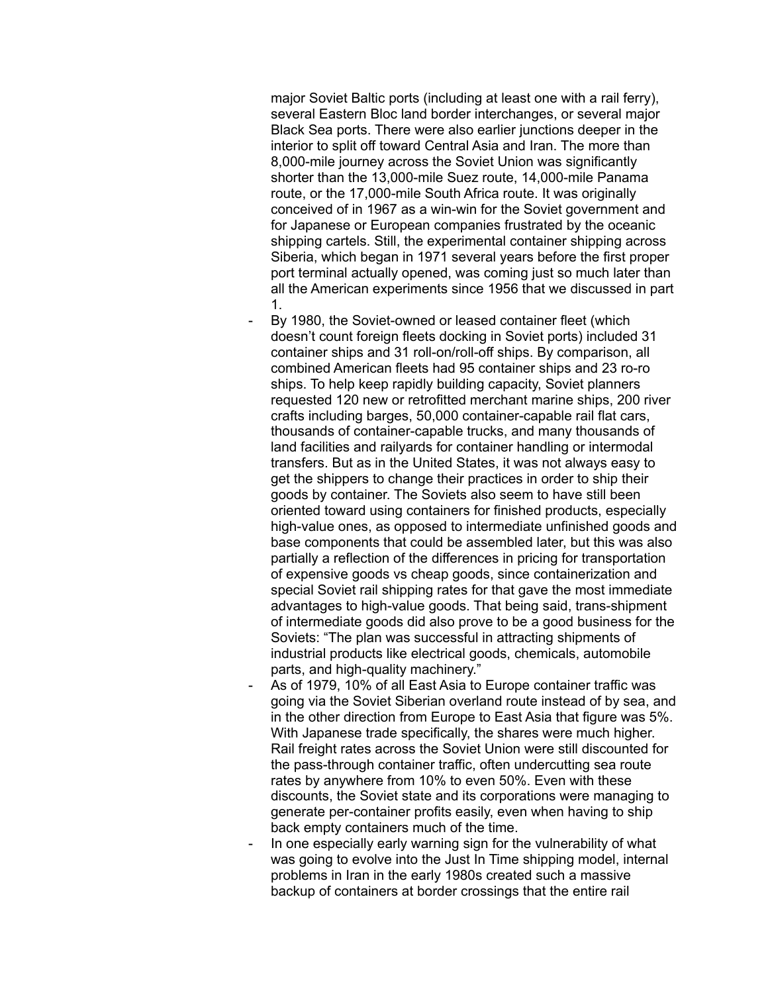major Soviet Baltic ports (including at least one with a rail ferry), several Eastern Bloc land border interchanges, or several major Black Sea ports. There were also earlier junctions deeper in the interior to split off toward Central Asia and Iran. The more than 8,000-mile journey across the Soviet Union was significantly shorter than the 13,000-mile Suez route, 14,000-mile Panama route, or the 17,000-mile South Africa route. It was originally conceived of in 1967 as a win-win for the Soviet government and for Japanese or European companies frustrated by the oceanic shipping cartels. Still, the experimental container shipping across Siberia, which began in 1971 several years before the first proper port terminal actually opened, was coming just so much later than all the American experiments since 1956 that we discussed in part 1.

By 1980, the Soviet-owned or leased container fleet (which doesn't count foreign fleets docking in Soviet ports) included 31 container ships and 31 roll-on/roll-off ships. By comparison, all combined American fleets had 95 container ships and 23 ro-ro ships. To help keep rapidly building capacity, Soviet planners requested 120 new or retrofitted merchant marine ships, 200 river crafts including barges, 50,000 container-capable rail flat cars, thousands of container-capable trucks, and many thousands of land facilities and railyards for container handling or intermodal transfers. But as in the United States, it was not always easy to get the shippers to change their practices in order to ship their goods by container. The Soviets also seem to have still been oriented toward using containers for finished products, especially high-value ones, as opposed to intermediate unfinished goods and base components that could be assembled later, but this was also partially a reflection of the differences in pricing for transportation of expensive goods vs cheap goods, since containerization and special Soviet rail shipping rates for that gave the most immediate advantages to high-value goods. That being said, trans-shipment of intermediate goods did also prove to be a good business for the Soviets: "The plan was successful in attracting shipments of industrial products like electrical goods, chemicals, automobile parts, and high-quality machinery."

- As of 1979, 10% of all East Asia to Europe container traffic was going via the Soviet Siberian overland route instead of by sea, and in the other direction from Europe to East Asia that figure was 5%. With Japanese trade specifically, the shares were much higher. Rail freight rates across the Soviet Union were still discounted for the pass-through container traffic, often undercutting sea route rates by anywhere from 10% to even 50%. Even with these discounts, the Soviet state and its corporations were managing to generate per-container profits easily, even when having to ship back empty containers much of the time.
- In one especially early warning sign for the vulnerability of what was going to evolve into the Just In Time shipping model, internal problems in Iran in the early 1980s created such a massive backup of containers at border crossings that the entire rail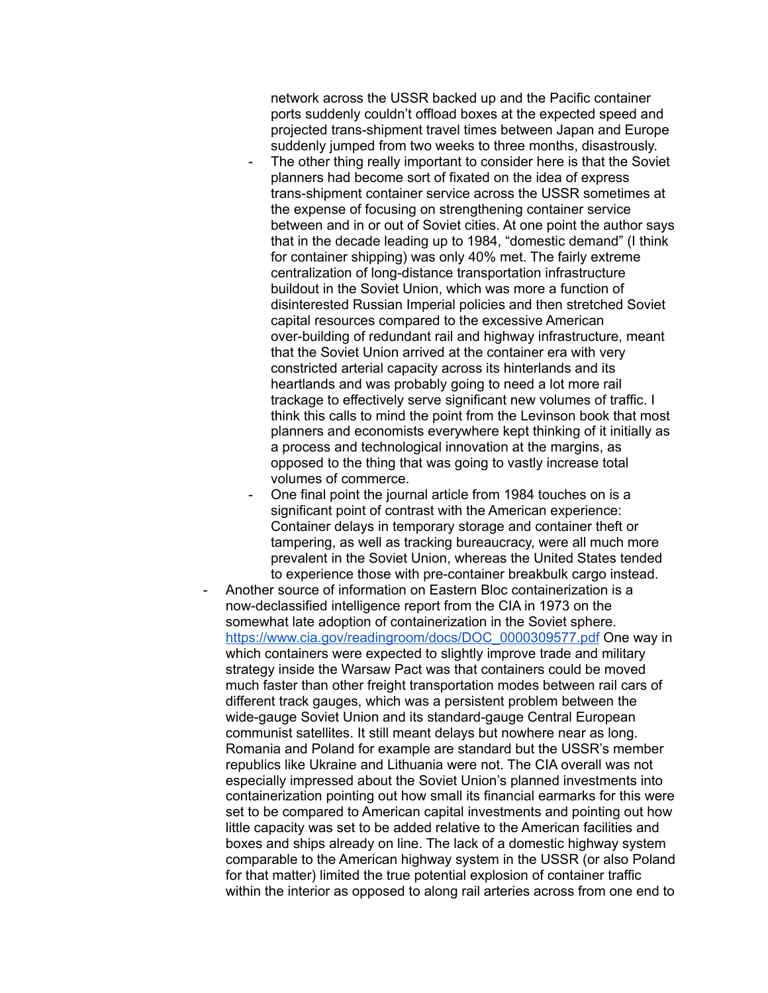network across the USSR backed up and the Pacific container ports suddenly couldn't offload boxes at the expected speed and projected trans-shipment travel times between Japan and Europe suddenly jumped from two weeks to three months, disastrously.

- The other thing really important to consider here is that the Soviet planners had become sort of fixated on the idea of express trans-shipment container service across the USSR sometimes at the expense of focusing on strengthening container service between and in or out of Soviet cities. At one point the author says that in the decade leading up to 1984, "domestic demand" (I think for container shipping) was only 40% met. The fairly extreme centralization of long-distance transportation infrastructure buildout in the Soviet Union, which was more a function of disinterested Russian Imperial policies and then stretched Soviet capital resources compared to the excessive American over-building of redundant rail and highway infrastructure, meant that the Soviet Union arrived at the container era with very constricted arterial capacity across its hinterlands and its heartlands and was probably going to need a lot more rail trackage to effectively serve significant new volumes of traffic. I think this calls to mind the point from the Levinson book that most planners and economists everywhere kept thinking of it initially as a process and technological innovation at the margins, as opposed to the thing that was going to vastly increase total volumes of commerce.
- One final point the journal article from 1984 touches on is a significant point of contrast with the American experience: Container delays in temporary storage and container theft or tampering, as well as tracking bureaucracy, were all much more prevalent in the Soviet Union, whereas the United States tended to experience those with pre-container breakbulk cargo instead.
- Another source of information on Eastern Bloc containerization is a now-declassified intelligence report from the CIA in 1973 on the somewhat late adoption of containerization in the Soviet sphere. [https://www.cia.gov/readingroom/docs/DOC\\_0000309577.pdf](https://www.cia.gov/readingroom/docs/DOC_0000309577.pdf) One way in which containers were expected to slightly improve trade and military strategy inside the Warsaw Pact was that containers could be moved much faster than other freight transportation modes between rail cars of different track gauges, which was a persistent problem between the wide-gauge Soviet Union and its standard-gauge Central European communist satellites. It still meant delays but nowhere near as long. Romania and Poland for example are standard but the USSR's member republics like Ukraine and Lithuania were not. The CIA overall was not especially impressed about the Soviet Union's planned investments into containerization pointing out how small its financial earmarks for this were set to be compared to American capital investments and pointing out how little capacity was set to be added relative to the American facilities and boxes and ships already on line. The lack of a domestic highway system comparable to the American highway system in the USSR (or also Poland for that matter) limited the true potential explosion of container traffic within the interior as opposed to along rail arteries across from one end to